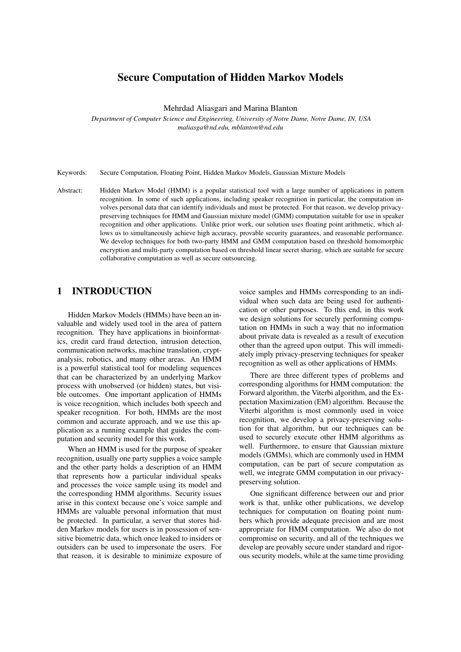# Secure Computation of Hidden Markov Models

Mehrdad Aliasgari and Marina Blanton

*Department of Computer Science and Engineering, University of Notre Dame, Notre Dame, IN, USA maliasga@nd.edu, mblanton@nd.edu*

Keywords: Secure Computation, Floating Point, Hidden Markov Models, Gaussian Mixture Models

Abstract: Hidden Markov Model (HMM) is a popular statistical tool with a large number of applications in pattern recognition. In some of such applications, including speaker recognition in particular, the computation involves personal data that can identify individuals and must be protected. For that reason, we develop privacypreserving techniques for HMM and Gaussian mixture model (GMM) computation suitable for use in speaker recognition and other applications. Unlike prior work, our solution uses floating point arithmetic, which allows us to simultaneously achieve high accuracy, provable security guarantees, and reasonable performance. We develop techniques for both two-party HMM and GMM computation based on threshold homomorphic encryption and multi-party computation based on threshold linear secret sharing, which are suitable for secure collaborative computation as well as secure outsourcing.

## 1 INTRODUCTION

Hidden Markov Models (HMMs) have been an invaluable and widely used tool in the area of pattern recognition. They have applications in bioinformatics, credit card fraud detection, intrusion detection, communication networks, machine translation, cryptanalysis, robotics, and many other areas. An HMM is a powerful statistical tool for modeling sequences that can be characterized by an underlying Markov process with unobserved (or hidden) states, but visible outcomes. One important application of HMMs is voice recognition, which includes both speech and speaker recognition. For both, HMMs are the most common and accurate approach, and we use this application as a running example that guides the computation and security model for this work.

When an HMM is used for the purpose of speaker recognition, usually one party supplies a voice sample and the other party holds a description of an HMM that represents how a particular individual speaks and processes the voice sample using its model and the corresponding HMM algorithms. Security issues arise in this context because one's voice sample and HMMs are valuable personal information that must be protected. In particular, a server that stores hidden Markov models for users is in possession of sensitive biometric data, which once leaked to insiders or outsiders can be used to impersonate the users. For that reason, it is desirable to minimize exposure of

voice samples and HMMs corresponding to an individual when such data are being used for authentication or other purposes. To this end, in this work we design solutions for securely performing computation on HMMs in such a way that no information about private data is revealed as a result of execution other than the agreed upon output. This will immediately imply privacy-preserving techniques for speaker recognition as well as other applications of HMMs.

There are three different types of problems and corresponding algorithms for HMM computation: the Forward algorithm, the Viterbi algorithm, and the Expectation Maximization (EM) algorithm. Because the Viterbi algorithm is most commonly used in voice recognition, we develop a privacy-preserving solution for that algorithm, but our techniques can be used to securely execute other HMM algorithms as well. Furthermore, to ensure that Gaussian mixture models (GMMs), which are commonly used in HMM computation, can be part of secure computation as well, we integrate GMM computation in our privacypreserving solution.

One significant difference between our and prior work is that, unlike other publications, we develop techniques for computation on floating point numbers which provide adequate precision and are most appropriate for HMM computation. We also do not compromise on security, and all of the techniques we develop are provably secure under standard and rigorous security models, while at the same time providing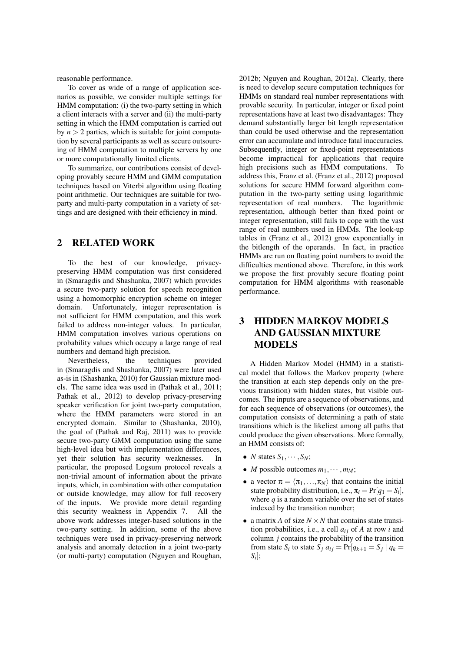reasonable performance.

To cover as wide of a range of application scenarios as possible, we consider multiple settings for HMM computation: (i) the two-party setting in which a client interacts with a server and (ii) the multi-party setting in which the HMM computation is carried out by  $n > 2$  parties, which is suitable for joint computation by several participants as well as secure outsourcing of HMM computation to multiple servers by one or more computationally limited clients.

To summarize, our contributions consist of developing provably secure HMM and GMM computation techniques based on Viterbi algorithm using floating point arithmetic. Our techniques are suitable for twoparty and multi-party computation in a variety of settings and are designed with their efficiency in mind.

### 2 RELATED WORK

To the best of our knowledge, privacypreserving HMM computation was first considered in (Smaragdis and Shashanka, 2007) which provides a secure two-party solution for speech recognition using a homomorphic encryption scheme on integer domain. Unfortunately, integer representation is not sufficient for HMM computation, and this work failed to address non-integer values. In particular, HMM computation involves various operations on probability values which occupy a large range of real numbers and demand high precision.

Nevertheless, the techniques provided in (Smaragdis and Shashanka, 2007) were later used as-is in (Shashanka, 2010) for Gaussian mixture models. The same idea was used in (Pathak et al., 2011; Pathak et al., 2012) to develop privacy-preserving speaker verification for joint two-party computation, where the HMM parameters were stored in an encrypted domain. Similar to (Shashanka, 2010), the goal of (Pathak and Raj, 2011) was to provide secure two-party GMM computation using the same high-level idea but with implementation differences, yet their solution has security weaknesses. In particular, the proposed Logsum protocol reveals a non-trivial amount of information about the private inputs, which, in combination with other computation or outside knowledge, may allow for full recovery of the inputs. We provide more detail regarding this security weakness in Appendix 7. All the above work addresses integer-based solutions in the two-party setting. In addition, some of the above techniques were used in privacy-preserving network analysis and anomaly detection in a joint two-party (or multi-party) computation (Nguyen and Roughan,

2012b; Nguyen and Roughan, 2012a). Clearly, there is need to develop secure computation techniques for HMMs on standard real number representations with provable security. In particular, integer or fixed point representations have at least two disadvantages: They demand substantially larger bit length representation than could be used otherwise and the representation error can accumulate and introduce fatal inaccuracies. Subsequently, integer or fixed-point representations become impractical for applications that require high precisions such as HMM computations. To address this, Franz et al. (Franz et al., 2012) proposed solutions for secure HMM forward algorithm computation in the two-party setting using logarithmic representation of real numbers. The logarithmic representation, although better than fixed point or integer representation, still fails to cope with the vast range of real numbers used in HMMs. The look-up tables in (Franz et al., 2012) grow exponentially in the bitlength of the operands. In fact, in practice HMMs are run on floating point numbers to avoid the difficulties mentioned above. Therefore, in this work we propose the first provably secure floating point computation for HMM algorithms with reasonable performance.

# 3 HIDDEN MARKOV MODELS AND GAUSSIAN MIXTURE MODELS

A Hidden Markov Model (HMM) in a statistical model that follows the Markov property (where the transition at each step depends only on the previous transition) with hidden states, but visible outcomes. The inputs are a sequence of observations, and for each sequence of observations (or outcomes), the computation consists of determining a path of state transitions which is the likeliest among all paths that could produce the given observations. More formally, an HMM consists of:

- *N* states  $S_1, \cdots, S_N$ ;
- *M* possible outcomes  $m_1, \dots, m_M$ ;
- a vector  $\pi = \langle \pi_1, \ldots, \pi_N \rangle$  that contains the initial state probability distribution, i.e.,  $\pi_i = \Pr[q_1 = S_i]$ , where  $q$  is a random variable over the set of states indexed by the transition number;
- a matrix *A* of size  $N \times N$  that contains state transition probabilities, i.e., a cell  $a_{ij}$  of  $A$  at row  $i$  and column *j* contains the probability of the transition from state *S*<sup>*i*</sup> to state *S*<sup>*j*</sup>  $a_{ij} = \Pr[q_{k+1} = S_j | q_k =$ *Si* ];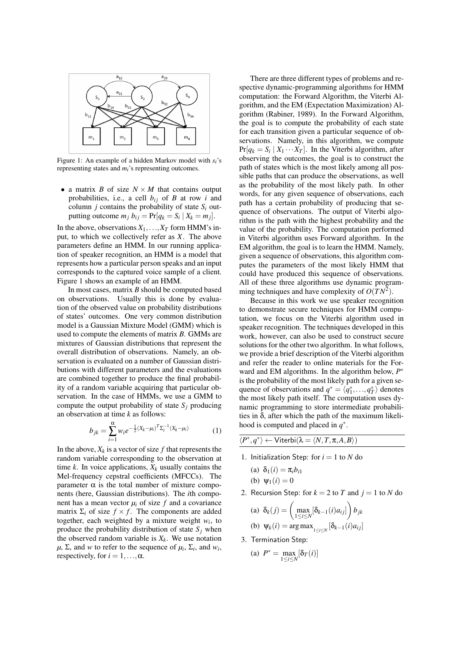

Figure 1: An example of a hidden Markov model with *si*'s representing states and *mi*'s representing outcomes.

• a matrix *B* of size  $N \times M$  that contains output probabilities, i.e., a cell  $b_{ij}$  of  $B$  at row  $i$  and column  $j$  contains the probability of state  $S_i$  outputting outcome  $m_j$   $b_{ij} = Pr[q_k = S_i | X_k = m_j].$ 

In the above, observations  $X_1, \ldots, X_T$  form HMM's input, to which we collectively refer as *X*. The above parameters define an HMM. In our running application of speaker recognition, an HMM is a model that represents how a particular person speaks and an input corresponds to the captured voice sample of a client. Figure 1 shows an example of an HMM.

In most cases, matrix *B* should be computed based on observations. Usually this is done by evaluation of the observed value on probability distributions of states' outcomes. One very common distribution model is a Gaussian Mixture Model (GMM) which is used to compute the elements of matrix *B*. GMMs are mixtures of Gaussian distributions that represent the overall distribution of observations. Namely, an observation is evaluated on a number of Gaussian distributions with different parameters and the evaluations are combined together to produce the final probability of a random variable acquiring that particular observation. In the case of HMMs, we use a GMM to compute the output probability of state  $S_i$  producing an observation at time *k* as follows:

$$
b_{jk} = \sum_{i=1}^{\alpha} w_i e^{-\frac{1}{2}(X_k - \mu_i)^T \Sigma_i^{-1} (X_k - \mu_i)}
$$
(1)

In the above,  $X_k$  is a vector of size  $f$  that represents the random variable corresponding to the observation at time  $k$ . In voice applications,  $X_k$  usually contains the Mel-frequency cepstral coefficients (MFCCs). The parameter α is the total number of mixture components (here, Gaussian distributions). The *i*th component has a mean vector  $\mu_i$  of size  $f$  and a covariance matrix  $\Sigma_i$  of size  $f \times f$ . The components are added together, each weighted by a mixture weight  $w_i$ , to produce the probability distribution of state  $S_i$  when the observed random variable is  $X_k$ . We use notation  $\mu$ ,  $\Sigma$ , and *w* to refer to the sequence of  $\mu_i$ ,  $\Sigma_i$ , and  $w_i$ , respectively, for  $i = 1, \ldots, \alpha$ .

There are three different types of problems and respective dynamic-programming algorithms for HMM computation: the Forward Algorithm, the Viterbi Algorithm, and the EM (Expectation Maximization) Algorithm (Rabiner, 1989). In the Forward Algorithm, the goal is to compute the probability of each state for each transition given a particular sequence of observations. Namely, in this algorithm, we compute  $Pr[q_k = S_i | X_1 \cdots X_T]$ . In the Viterbi algorithm, after observing the outcomes, the goal is to construct the path of states which is the most likely among all possible paths that can produce the observations, as well as the probability of the most likely path. In other words, for any given sequence of observations, each path has a certain probability of producing that sequence of observations. The output of Viterbi algorithm is the path with the highest probability and the value of the probability. The computation performed in Viterbi algorithm uses Forward algorithm. In the EM algorithm, the goal is to learn the HMM. Namely, given a sequence of observations, this algorithm computes the parameters of the most likely HMM that could have produced this sequence of observations. All of these three algorithms use dynamic programming techniques and have complexity of  $O(TN^2)$ .

Because in this work we use speaker recognition to demonstrate secure techniques for HMM computation, we focus on the Viterbi algorithm used in speaker recognition. The techniques developed in this work, however, can also be used to construct secure solutions for the other two algorithm. In what follows, we provide a brief description of the Viterbi algorithm and refer the reader to online materials for the Forward and EM algorithms. In the algorithm below, *P* ∗ is the probability of the most likely path for a given sequence of observations and  $q^* = \langle q_1^*, \ldots, q_T^* \rangle$  denotes the most likely path itself. The computation uses dynamic programming to store intermediate probabilities in  $\delta$ , after which the path of the maximum likelihood is computed and placed in  $q^*$ .

| $\langle P^*,q^*\rangle \leftarrow \mathsf{Viterbi}(\lambda = \langle N,T,\pi,A,B\rangle)$ |  |
|--------------------------------------------------------------------------------------------|--|
|                                                                                            |  |

- 1. Initialization Step: for  $i = 1$  to  $N$  do
	- (a)  $\delta_1(i) = \pi_i b_{i1}$
	- (b)  $\Psi_1(i) = 0$
- 2. Recursion Step: for  $k = 2$  to *T* and  $j = 1$  to *N* do

(a) 
$$
\delta_k(j) = \left(\max_{1 \le i \le N} [\delta_{k-1}(i)a_{ij}]\right) b_{jk}
$$
  
(b)  $\psi_k(i) = \arg \max_{1 \le i \le N} [\delta_{k-1}(i)a_{ij}]$ 

3. Termination Step:

(a) 
$$
P^* = \max_{1 \le i \le N} [\delta_T(i)]
$$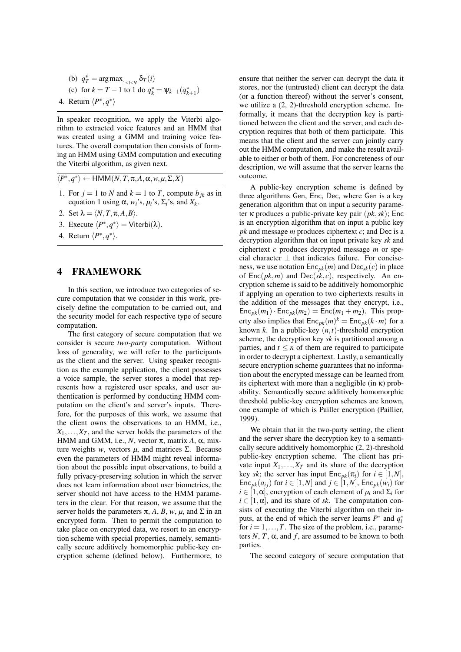\n- (b) 
$$
q_T^* = \arg \max_{1 \le i \le N} \delta_T(i)
$$
\n- (c) for  $k = T - 1$  to 1 do  $q_k^* = \psi_{k+1}(q_{k+1}^*)$
\n- 4. Return  $\langle P^*, q^* \rangle$
\n

In speaker recognition, we apply the Viterbi algorithm to extracted voice features and an HMM that was created using a GMM and training voice features. The overall computation then consists of forming an HMM using GMM computation and executing the Viterbi algorithm, as given next.

 $\langle P^*, q^* \rangle \leftarrow \text{HMM}(N, T, \pi, A, \alpha, w, \mu, \Sigma, X)$ 

- 1. For  $j = 1$  to *N* and  $k = 1$  to *T*, compute  $b_{jk}$  as in equation 1 using  $\alpha$ ,  $w_i$ 's,  $\mu_i$ 's,  $\Sigma_i$ 's, and  $X_k$ .
- 2. Set  $\lambda = \langle N, T, \pi, A, B \rangle$ .
- 3. Execute  $\langle P^*, q^* \rangle$  = Viterbi( $\lambda$ ).
- 4. Return  $\langle P^*, q^* \rangle$ .

#### 4 FRAMEWORK

In this section, we introduce two categories of secure computation that we consider in this work, precisely define the computation to be carried out, and the security model for each respective type of secure computation.

The first category of secure computation that we consider is secure *two-party* computation. Without loss of generality, we will refer to the participants as the client and the server. Using speaker recognition as the example application, the client possesses a voice sample, the server stores a model that represents how a registered user speaks, and user authentication is performed by conducting HMM computation on the client's and server's inputs. Therefore, for the purposes of this work, we assume that the client owns the observations to an HMM, i.e.,  $X_1, \ldots, X_T$ , and the server holds the parameters of the HMM and GMM, i.e.,  $N$ , vector  $\pi$ , matrix  $A$ ,  $\alpha$ , mixture weights *w*, vectors  $\mu$ , and matrices Σ. Because even the parameters of HMM might reveal information about the possible input observations, to build a fully privacy-preserving solution in which the server does not learn information about user biometrics, the server should not have access to the HMM parameters in the clear. For that reason, we assume that the server holds the parameters  $\pi$ , *A*, *B*, *w*, *µ*, and  $\Sigma$  in an encrypted form. Then to permit the computation to take place on encrypted data, we resort to an encryption scheme with special properties, namely, semantically secure additively homomorphic public-key encryption scheme (defined below). Furthermore, to ensure that neither the server can decrypt the data it stores, nor the (untrusted) client can decrypt the data (or a function thereof) without the server's consent, we utilize a (2, 2)-threshold encryption scheme. Informally, it means that the decryption key is partitioned between the client and the server, and each decryption requires that both of them participate. This means that the client and the server can jointly carry out the HMM computation, and make the result available to either or both of them. For concreteness of our description, we will assume that the server learns the outcome.

A public-key encryption scheme is defined by three algorithms Gen, Enc, Dec, where Gen is a key generation algorithm that on input a security parameter κ produces a public-private key pair (*pk*,*sk*); Enc is an encryption algorithm that on input a public key *pk* and message *m* produces ciphertext *c*; and Dec is a decryption algorithm that on input private key *sk* and ciphertext *c* produces decrypted message *m* or special character ⊥ that indicates failure. For conciseness, we use notation  $Enc_{pk}(m)$  and  $Dec_{sk}(c)$  in place of  $Enc(\mathit{pk}, m)$  and  $Dec(\mathit{sk}, c)$ , respectively. An encryption scheme is said to be additively homomorphic if applying an operation to two ciphertexts results in the addition of the messages that they encrypt, i.e.,  $Enc<sub>pk</sub>(m<sub>1</sub>) \cdot Enc<sub>pk</sub>(m<sub>2</sub>) = Enc(m<sub>1</sub> + m<sub>2</sub>)$ . This property also implies that  $Enc_{pk}(m)^k = Enc_{pk}(k \cdot m)$  for a known  $k$ . In a public-key  $(n, t)$ -threshold encryption scheme, the decryption key *sk* is partitioned among *n* parties, and  $t \leq n$  of them are required to participate in order to decrypt a ciphertext. Lastly, a semantically secure encryption scheme guarantees that no information about the encrypted message can be learned from its ciphertext with more than a negligible (in  $\kappa$ ) probability. Semantically secure additively homomorphic threshold public-key encryption schemes are known, one example of which is Pailler encryption (Paillier, 1999).

We obtain that in the two-party setting, the client and the server share the decryption key to a semantically secure additively homomorphic (2, 2)-threshold public-key encryption scheme. The client has private input  $X_1, \ldots, X_T$  and its share of the decryption key *sk*; the server has input  $Enc_{pk}(\pi_i)$  for  $i \in [1, N]$ , Enc<sub>pk</sub> $(a_{ij})$  for  $i \in [1, N]$  and  $j \in [1, N]$ , Enc<sub>pk</sub> $(w_i)$  for  $i \in [1, \alpha]$ , encryption of each element of  $\mu_i$  and  $\Sigma_i$  for  $i \in [1, \alpha]$ , and its share of *sk*. The computation consists of executing the Viterbi algorithm on their inputs, at the end of which the server learns  $P^*$  and  $q_i^*$ for  $i = 1, \ldots, T$ . The size of the problem, i.e., parameters  $N$ ,  $T$ ,  $\alpha$ , and  $f$ , are assumed to be known to both parties.

The second category of secure computation that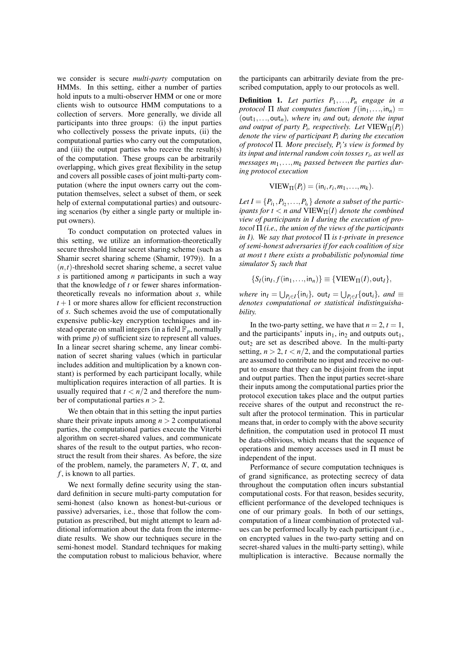we consider is secure *multi-party* computation on HMMs. In this setting, either a number of parties hold inputs to a multi-observer HMM or one or more clients wish to outsource HMM computations to a collection of servers. More generally, we divide all participants into three groups: (i) the input parties who collectively possess the private inputs, (ii) the computational parties who carry out the computation, and (iii) the output parties who receive the result(s) of the computation. These groups can be arbitrarily overlapping, which gives great flexibility in the setup and covers all possible cases of joint multi-party computation (where the input owners carry out the computation themselves, select a subset of them, or seek help of external computational parties) and outsourcing scenarios (by either a single party or multiple input owners).

To conduct computation on protected values in this setting, we utilize an information-theoretically secure threshold linear secret sharing scheme (such as Shamir secret sharing scheme (Shamir, 1979)). In a  $(n,t)$ -threshold secret sharing scheme, a secret value *s* is partitioned among *n* participants in such a way that the knowledge of *t* or fewer shares informationtheoretically reveals no information about *s*, while  $t + 1$  or more shares allow for efficient reconstruction of *s*. Such schemes avoid the use of computationally expensive public-key encryption techniques and instead operate on small integers (in a field  $\mathbb{F}_p$ , normally with prime *p*) of sufficient size to represent all values. In a linear secret sharing scheme, any linear combination of secret sharing values (which in particular includes addition and multiplication by a known constant) is performed by each participant locally, while multiplication requires interaction of all parties. It is usually required that  $t < n/2$  and therefore the number of computational parties  $n > 2$ .

We then obtain that in this setting the input parties share their private inputs among  $n > 2$  computational parties, the computational parties execute the Viterbi algorithm on secret-shared values, and communicate shares of the result to the output parties, who reconstruct the result from their shares. As before, the size of the problem, namely, the parameters  $N$ ,  $T$ ,  $\alpha$ , and *f* , is known to all parties.

We next formally define security using the standard definition in secure multi-party computation for semi-honest (also known as honest-but-curious or passive) adversaries, i.e., those that follow the computation as prescribed, but might attempt to learn additional information about the data from the intermediate results. We show our techniques secure in the semi-honest model. Standard techniques for making the computation robust to malicious behavior, where the participants can arbitrarily deviate from the prescribed computation, apply to our protocols as well.

Definition 1. *Let parties P*1,...,*P<sup>n</sup> engage in a protocol*  $\Pi$  *that computes function*  $f(in_1,...,in_n) =$ (out<sub>1</sub>,...,out<sub>n</sub>), where in<sub>i</sub> and out<sub>i</sub> denote the input *and output of party*  $P_i$ *, respectively. Let*  $VIEW_{\Pi}(P_i)$ *denote the view of participant P<sup>i</sup> during the execution of protocol* Π*. More precisely, Pi's view is formed by its input and internal random coin tosses r<sup>i</sup> , as well as messages m*1,...,*m<sup>k</sup> passed between the parties during protocol execution*

$$
VIEW_{\Pi}(P_i) = (in_i, r_i, m_1, \ldots, m_k).
$$

Let  $I = \{P_{i_1}, P_{i_2}, \ldots, P_{i_t}\}$  denote a subset of the partic*ipants for t*  $\lt$  *n* and VIEW $_{\Pi}(I)$  *denote the combined view of participants in I during the execution of protocol* Π *(i.e., the union of the views of the participants in I). We say that protocol* Π *is t-private in presence of semi-honest adversaries if for each coalition of size at most t there exists a probabilistic polynomial time simulator S<sup>I</sup> such that*

$$
\{S_I(\mathsf{in}_I, f(\mathsf{in}_1, \ldots, \mathsf{in}_n)\} \equiv \{\mathsf{VIEW}_{\Pi}(I), \mathsf{out}_I\},\
$$

*<i>,* out $I = \bigcup_{P_i \in I} \{out_i\}$ *, and*  $\equiv$ *denotes computational or statistical indistinguishability.*

In the two-party setting, we have that  $n = 2$ ,  $t = 1$ , and the participants' inputs in<sub>1</sub>, in<sub>2</sub> and outputs out<sub>1</sub>,  $out<sub>2</sub>$  are set as described above. In the multi-party setting,  $n > 2$ ,  $t < n/2$ , and the computational parties are assumed to contribute no input and receive no output to ensure that they can be disjoint from the input and output parties. Then the input parties secret-share their inputs among the computational parties prior the protocol execution takes place and the output parties receive shares of the output and reconstruct the result after the protocol termination. This in particular means that, in order to comply with the above security definition, the computation used in protocol  $\Pi$  must be data-oblivious, which means that the sequence of operations and memory accesses used in Π must be independent of the input.

Performance of secure computation techniques is of grand significance, as protecting secrecy of data throughout the computation often incurs substantial computational costs. For that reason, besides security, efficient performance of the developed techniques is one of our primary goals. In both of our settings, computation of a linear combination of protected values can be performed locally by each participant (i.e., on encrypted values in the two-party setting and on secret-shared values in the multi-party setting), while multiplication is interactive. Because normally the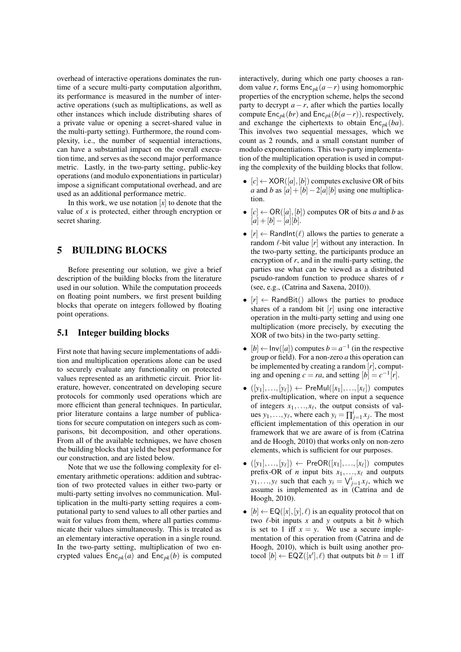overhead of interactive operations dominates the runtime of a secure multi-party computation algorithm, its performance is measured in the number of interactive operations (such as multiplications, as well as other instances which include distributing shares of a private value or opening a secret-shared value in the multi-party setting). Furthermore, the round complexity, i.e., the number of sequential interactions, can have a substantial impact on the overall execution time, and serves as the second major performance metric. Lastly, in the two-party setting, public-key operations (and modulo exponentiations in particular) impose a significant computational overhead, and are used as an additional performance metric.

In this work, we use notation  $[x]$  to denote that the value of *x* is protected, either through encryption or secret sharing.

## 5 BUILDING BLOCKS

Before presenting our solution, we give a brief description of the building blocks from the literature used in our solution. While the computation proceeds on floating point numbers, we first present building blocks that operate on integers followed by floating point operations.

#### 5.1 Integer building blocks

First note that having secure implementations of addition and multiplication operations alone can be used to securely evaluate any functionality on protected values represented as an arithmetic circuit. Prior literature, however, concentrated on developing secure protocols for commonly used operations which are more efficient than general techniques. In particular, prior literature contains a large number of publications for secure computation on integers such as comparisons, bit decomposition, and other operations. From all of the available techniques, we have chosen the building blocks that yield the best performance for our construction, and are listed below.

Note that we use the following complexity for elementary arithmetic operations: addition and subtraction of two protected values in either two-party or multi-party setting involves no communication. Multiplication in the multi-party setting requires a computational party to send values to all other parties and wait for values from them, where all parties communicate their values simultaneously. This is treated as an elementary interactive operation in a single round. In the two-party setting, multiplication of two encrypted values  $Enc<sub>pk</sub>(a)$  and  $Enc<sub>pk</sub>(b)$  is computed

interactively, during which one party chooses a random value *r*, forms  $Enc_{pk}(a - r)$  using homomorphic properties of the encryption scheme, helps the second party to decrypt  $a - r$ , after which the parties locally compute  $Enc_{pk}(br)$  and  $Enc_{pk}(b(a-r))$ , respectively, and exchange the ciphertexts to obtain  $Enc<sub>pk</sub>(ba)$ . This involves two sequential messages, which we count as 2 rounds, and a small constant number of modulo exponentiations. This two-party implementation of the multiplication operation is used in computing the complexity of the building blocks that follow.

- $[c] \leftarrow \text{XOR}([a], [b])$  computes exclusive OR of bits *a* and *b* as  $[a] + [b] - 2[a][b]$  using one multiplication.
- $[c] \leftarrow OR([a], [b])$  computes OR of bits *a* and *b* as  $[a] + [b] - [a][b].$
- $[r] \leftarrow$  RandInt( $\ell$ ) allows the parties to generate a random  $\ell$ -bit value  $[r]$  without any interaction. In the two-party setting, the participants produce an encryption of *r*, and in the multi-party setting, the parties use what can be viewed as a distributed pseudo-random function to produce shares of *r* (see, e.g., (Catrina and Saxena, 2010)).
- $[r] \leftarrow$  RandBit() allows the parties to produce shares of a random bit [*r*] using one interactive operation in the multi-party setting and using one multiplication (more precisely, by executing the XOR of two bits) in the two-party setting.
- $[b] \leftarrow \text{Inv}([a])$  computes  $b = a^{-1}$  (in the respective group or field). For a non-zero *a* this operation can be implemented by creating a random [*r*], computing and opening  $c = ra$ , and setting  $[b] = c^{-1}[r]$ .
- $\bullet$   $([y_1],...,[y_\ell]) \leftarrow$  PreMul $([x_1],...,[x_\ell])$  computes prefix-multiplication, where on input a sequence of integers  $x_1, \ldots, x_\ell$ , the output consists of values  $y_1, \ldots, y_\ell$ , where each  $y_i = \prod_{j=1}^i x_j$ . The most efficient implementation of this operation in our framework that we are aware of is from (Catrina and de Hoogh, 2010) that works only on non-zero elements, which is sufficient for our purposes.
- $([y_1],..., [y_\ell])$  ← PreOR $([x_1],..., [x_\ell])$  computes prefix-OR of *n* input bits  $x_1, \ldots, x_\ell$  and outputs  $y_1, \ldots, y_\ell$  such that each  $y_i = \bigvee_{j=1}^i x_j$ , which we assume is implemented as in (Catrina and de Hoogh, 2010).
- $[b] \leftarrow \mathsf{EQ}([x], [y], \ell)$  is an equality protocol that on two  $\ell$ -bit inputs *x* and *y* outputs a bit *b* which is set to 1 iff  $x = y$ . We use a secure implementation of this operation from (Catrina and de Hoogh, 2010), which is built using another protocol  $[b] \leftarrow \text{EQZ}([x'], \ell)$  that outputs bit  $b = 1$  iff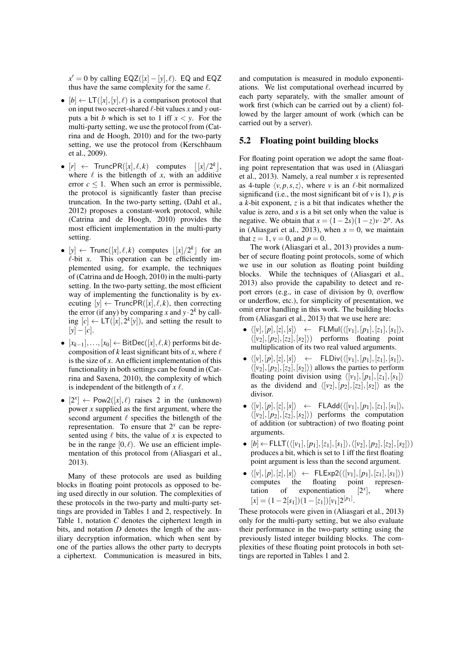$x' = 0$  by calling  $EQZ([x] - [y], \ell)$ . EQ and EQZ thus have the same complexity for the same  $\ell$ .

- $[b] \leftarrow LT([x], [y], \ell)$  is a comparison protocol that on input two secret-shared  $\ell$ -bit values *x* and *y* outputs a bit *b* which is set to 1 iff  $x < y$ . For the multi-party setting, we use the protocol from (Catrina and de Hoogh, 2010) and for the two-party setting, we use the protocol from (Kerschbaum et al., 2009).
- $[r] \leftarrow$  TruncPR( $[x], \ell, k$ ) computes  $\left| [x]/2^k \right|$ , where  $\ell$  is the bitlength of *x*, with an additive error  $c \leq 1$ . When such an error is permissible, the protocol is significantly faster than precise truncation. In the two-party setting, (Dahl et al., 2012) proposes a constant-work protocol, while (Catrina and de Hoogh, 2010) provides the most efficient implementation in the multi-party setting.
- [y]  $\leftarrow$  Trunc([x],  $\ell$ , k) computes  $\lfloor |x|/2^k \rfloor$  for an  $\ell$ -bit *x*. This operation can be efficiently implemented using, for example, the techniques of (Catrina and de Hoogh, 2010) in the multi-party setting. In the two-party setting, the most efficient way of implementing the functionality is by executing  $[y] \leftarrow \text{TruncPR}([x], \ell, k)$ , then correcting the error (if any) by comparing *x* and  $y \cdot 2^k$  by calling  $[c] \leftarrow LT([x], 2^k[y])$ , and setting the result to [*y*]−[*c*].
- $[x_{k-1}],..., [x_0] \leftarrow$  BitDec( $[x], \ell, k$ ) performs bit decomposition of *k* least significant bits of *x*, where  $\ell$ is the size of *x*. An efficient implementation of this functionality in both settings can be found in (Catrina and Saxena, 2010), the complexity of which is independent of the bitlength of  $x \ell$ .
- $[2^x] \leftarrow \text{Pow2}([x], \ell)$  raises 2 in the (unknown) power *x* supplied as the first argument, where the second argument  $\ell$  specifies the bitlength of the representation. To ensure that  $2^x$  can be represented using  $\ell$  bits, the value of *x* is expected to be in the range  $[0, \ell)$ . We use an efficient implementation of this protocol from (Aliasgari et al., 2013).

Many of these protocols are used as building blocks in floating point protocols as opposed to being used directly in our solution. The complexities of these protocols in the two-party and multi-party settings are provided in Tables 1 and 2, respectively. In Table 1, notation *C* denotes the ciphertext length in bits, and notation *D* denotes the length of the auxiliary decryption information, which when sent by one of the parties allows the other party to decrypts a ciphertext. Communication is measured in bits,

and computation is measured in modulo exponentiations. We list computational overhead incurred by each party separately, with the smaller amount of work first (which can be carried out by a client) followed by the larger amount of work (which can be carried out by a server).

#### 5.2 Floating point building blocks

For floating point operation we adopt the same floating point representation that was used in (Aliasgari et al., 2013). Namely, a real number *x* is represented as 4-tuple  $\langle v, p, s, z \rangle$ , where *v* is an  $\ell$ -bit normalized significand (i.e., the most significant bit of  $\nu$  is 1),  $\rho$  is a *k*-bit exponent, *z* is a bit that indicates whether the value is zero, and *s* is a bit set only when the value is negative. We obtain that  $x = (1 - 2s)(1 - z)v \cdot 2^p$ . As in (Aliasgari et al., 2013), when  $x = 0$ , we maintain that  $z = 1$ ,  $v = 0$ , and  $p = 0$ .

The work (Aliasgari et al., 2013) provides a number of secure floating point protocols, some of which we use in our solution as floating point building blocks. While the techniques of (Aliasgari et al., 2013) also provide the capability to detect and report errors (e.g., in case of division by 0, overflow or underflow, etc.), for simplicity of presentation, we omit error handling in this work. The building blocks from (Aliasgari et al., 2013) that we use here are:

- $\langle [v], [p], [z], [s] \rangle \leftarrow \text{FLMul}(\langle [v_1], [p_1], [z_1], [s_1] \rangle,$  $\langle [v_2], [p_2], [z_2], [s_2] \rangle$  performs floating point multiplication of its two real valued arguments.
- $\langle [v], [p], [z], [s] \rangle$  ← FLDiv $(\langle [v_1], [p_1], [z_1], [s_1] \rangle,$  $\langle [v_2], [p_2], [z_2], [s_2] \rangle$  allows the parties to perform floating point division using  $\langle [v_1],[p_1],[z_1],[s_1]\rangle$ as the dividend and  $\langle [v_2], [p_2], [z_2], [s_2] \rangle$  as the divisor.
- $\langle [v], [p], [z], [s] \rangle$  ← FLAdd $(\langle [v_1], [p_1], [z_1], [s_1] \rangle,$  $\langle [v_2], [p_2], [z_2], [s_2] \rangle$  performs the computation of addition (or subtraction) of two floating point arguments.
- $[b]$  ← FLLT( $\langle [v_1], [p_1], [z_1], [s_1] \rangle$ ,  $\langle [v_2], [p_2], [z_2], [s_2] \rangle$ ) produces a bit, which is set to 1 iff the first floating point argument is less than the second argument.
- $\langle [\nu], [p], [z], [s] \rangle \leftarrow$  FLExp2( $\langle [\nu_1], [p_1], [z_1], [s_1] \rangle$ )<br>computes the floating point representhe floating point representation of exponentiation  $[2^x]$ , where  $[x] = (1-2[s_1])(1-[z_1])[v_1]2^{[p_1]}.$

These protocols were given in (Aliasgari et al., 2013) only for the multi-party setting, but we also evaluate their performance in the two-party setting using the previously listed integer building blocks. The complexities of these floating point protocols in both settings are reported in Tables 1 and 2.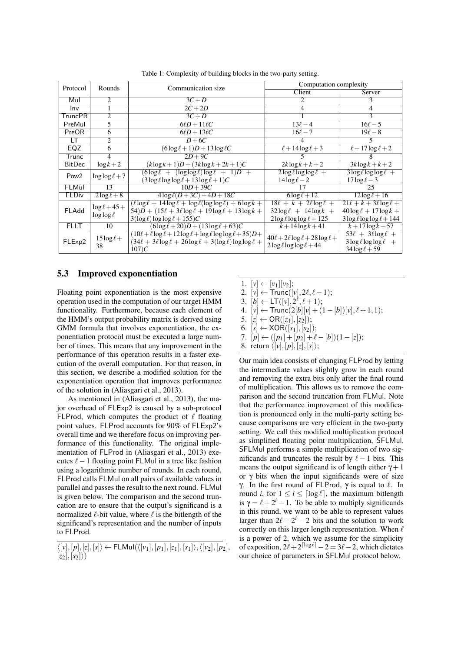| Protocol         | <b>Rounds</b>                          | Communication size                                                            | Computation complexity                      |                                  |
|------------------|----------------------------------------|-------------------------------------------------------------------------------|---------------------------------------------|----------------------------------|
|                  |                                        |                                                                               | Client                                      | Server                           |
| Mul              | $\mathcal{D}_{\mathcal{L}}$            | $3C+D$                                                                        |                                             | 3                                |
| Inv              |                                        | $2C+2D$                                                                       | 4                                           | 4                                |
| TruncPR          | $\mathfrak{D}$                         | $3C+D$                                                                        |                                             | 3                                |
| PreMul           | 5                                      | $6\ell D+11\ell C$                                                            | $13\ell - 4$                                | $16\ell - 5$                     |
| PreOR            | 6                                      | $6\ell D+13\ell C$                                                            | $16\ell - 7$                                | $19\ell - 8$                     |
| LT               | $\overline{c}$                         | $D+6C$                                                                        | 4                                           | 5                                |
| EQZ              | 6                                      | $(6\log\ell+1)D+13\log\ell C$                                                 | $\sqrt{\ell+14\log \ell}+3$                 | $\sqrt{\ell+17\log \ell+2}$      |
| Trunc            | 4                                      | $2D+9C$                                                                       |                                             |                                  |
| <b>BitDec</b>    | $\log k + 2$                           | $(k \log k + 1)D + (3k \log k + 2k + 1)C$                                     | $2k\log k + k + 2$                          | $3k\log k + k + 2$               |
| Pow <sub>2</sub> | $\log \log \ell + 7$                   | $(6\log \ell + (\log \log \ell) \log \ell + 1)D +$                            | $2\log\ell\log\log\ell +$                   | $3\log\ell\log\log\ell +$        |
|                  |                                        | $(3 \log \ell \log \log \ell + 13 \log \ell + 1)C$                            | $14\log\ell-2$                              | $17 \log \ell - 3$               |
| FLMul            | $\overline{13}$                        | $10D+39C$                                                                     |                                             | 25                               |
| <b>FLDiv</b>     | $2\log \ell + 8$                       | $4\log \ell(D+3C) + 4D + 18C$                                                 | $6\log\ell+12$                              | $12\log\ell + 16$                |
| FLAdd            | $\log \ell + 45 +$<br>$\log \log \ell$ | $(\ell \log \ell + 14 \log \ell + \log \ell (\log \log \ell) + 6 \log k +$    | $18\ell + k + 2\ell \log \ell +$            | $21\ell + k + 3\ell \log \ell +$ |
|                  |                                        | $(54)D + (15\ell + 3\ell \log \ell + 19\log \ell + 13\log k + 19\ell)$        | $32\log \ell + 14\log k +$                  | $40\log\ell + 17\log k +$        |
|                  |                                        | $3(\log \ell) \log \log \ell + 155$ )C                                        | $2\log\ell\log\log\ell+125$                 | $3\log\ell\log\log\ell+144$      |
| <b>FLLT</b>      | 10                                     | $(6\log \ell + 20)D + (13\log \ell + 63)C$                                    | $k + 14 \log k + 41$                        | $k + 17 \log k + 57$             |
| FLExp2           | $15 \log \ell +$<br>38                 | $(10\ell + \ell \log \ell + 12 \log \ell + \log \ell \log \log \ell + 35)D +$ | $40\ell + 2\ell \log \ell + 28 \log \ell +$ | $53\ell + 3\ell \log \ell +$     |
|                  |                                        | $(34\ell + 3\ell \log \ell + 26\log \ell + 3(\log \ell) \log \log \ell +$     | $2\log \ell \log \log \ell + 44$            | $3\log\ell\log\log\ell$ +        |
|                  |                                        | 107C                                                                          |                                             | $34\log \ell + 59$               |

Table 1: Complexity of building blocks in the two-party setting.

#### 5.3 Improved exponentiation

Floating point exponentiation is the most expensive operation used in the computation of our target HMM functionality. Furthermore, because each element of the HMM's output probability matrix is derived using GMM formula that involves exponentiation, the exponentiation protocol must be executed a large number of times. This means that any improvement in the performance of this operation results in a faster execution of the overall computation. For that reason, in this section, we describe a modified solution for the exponentiation operation that improves performance of the solution in (Aliasgari et al., 2013).

As mentioned in (Aliasgari et al., 2013), the major overhead of FLExp2 is caused by a sub-protocol FLProd, which computes the product of  $\ell$  floating point values. FLProd accounts for 90% of FLExp2's overall time and we therefore focus on improving performance of this functionality. The original implementation of FLProd in (Aliasgari et al., 2013) executes  $\ell-1$  floating point FLMul in a tree like fashion using a logarithmic number of rounds. In each round, FLProd calls FLMul on all pairs of available values in parallel and passes the result to the next round. FLMul is given below. The comparison and the second truncation are to ensure that the output's significand is a normalized  $\ell$ -bit value, where  $\ell$  is the bitlength of the significand's representation and the number of inputs to FLProd.

 $\langle [v],[p],[z],[s]\rangle \leftarrow \mathsf{FLMul}(\langle [v_1],[p_1],[z_1],[s_1]\rangle,\langle [v_2],[p_2],$  $[z_2], [s_2]$ )

1.  $[v] \leftarrow [v_1][v_2];$ 2.  $[v] \leftarrow \text{Trunc}([v], 2\ell, \ell-1);$ 3.  $[b] \leftarrow LT([v], 2^{\ell}, \ell+1);$ 4.  $[v] \leftarrow \text{Trunc}(2[b][v] + (1-[b])[v], \ell+1,1);$ 5.  $[z] \leftarrow OR([z_1],[z_2])$ ; 6.  $[s] \leftarrow XOR([s_1], [s_2])$ ;

7. 
$$
[p] \leftarrow ([p_1] + [p_2] + \ell - [b])(1 - [z]);
$$

8. return  $\langle [v],[p],[z],[s]\rangle;$ 

Our main idea consists of changing FLProd by letting the intermediate values slightly grow in each round and removing the extra bits only after the final round of multiplication. This allows us to remove the comparison and the second truncation from FLMul. Note that the performance improvement of this modification is pronounced only in the multi-party setting because comparisons are very efficient in the two-party setting. We call this modified multiplication protocol as simplified floating point multiplication, SFLMul. SFLMul performs a simple multiplication of two significands and truncates the result by  $\ell - 1$  bits. This means the output significand is of length either  $\gamma + 1$ or γ bits when the input significands were of size γ. In the first round of FLProd,  $\gamma$  is equal to  $\ell$ . In round *i*, for  $1 \le i \le \lfloor \log \ell \rfloor$ , the maximum bitlength is  $\gamma = \ell + 2^i - 1$ . To be able to multiply significands in this round, we want to be able to represent values larger than  $2\ell + 2^i - 2$  bits and the solution to work correctly on this larger length representation. When  $\ell$ is a power of 2, which we assume for the simplicity of exposition,  $2\ell + 2^{\lceil \log \ell \rceil} - 2 = 3\ell - 2$ , which dictates our choice of parameters in SFLMul protocol below.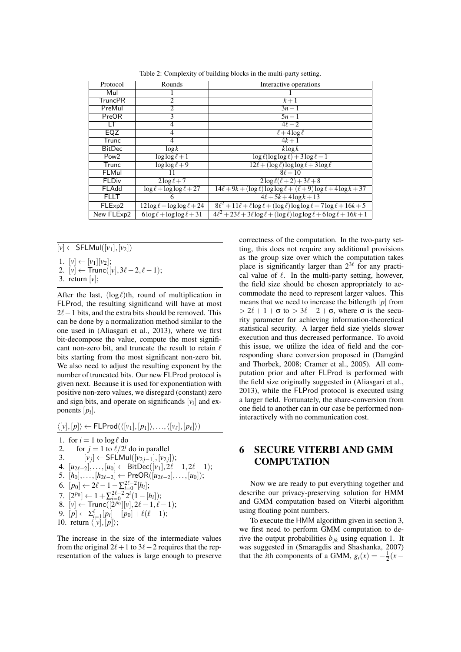| Protocol         | Rounds                              | Interactive operations                                                                    |
|------------------|-------------------------------------|-------------------------------------------------------------------------------------------|
| Mul              |                                     |                                                                                           |
| <b>TruncPR</b>   | 2                                   | $k+1$                                                                                     |
| PreMul           | 2                                   | $3n-1$                                                                                    |
| PreOR            | $\overline{3}$                      | $5n-1$                                                                                    |
| LT               | $\overline{4}$                      | $4\ell-2$                                                                                 |
| EQZ              | 4                                   | $\ell$ + 4 $\log \ell$                                                                    |
| Trunc            | 4                                   | $4k + 1$                                                                                  |
| <b>BitDec</b>    | $\log k$                            | $k \log k$                                                                                |
| Pow <sub>2</sub> | $\log \log \ell + 1$                | $\log \ell(\log \log \ell) + 3\log \ell - 1$                                              |
| Trunc            | $\log \log \ell + 9$                | $12\ell + (\log \ell) \log \log \ell + 3 \log \ell$                                       |
| FLMul            | 11                                  | $8\ell + 10$                                                                              |
| <b>FLDiv</b>     | $2\log\ell+7$                       | $2\log \ell(\ell+2) + 3\ell + 8$                                                          |
| FLAdd            | $\log \ell + \log \log \ell + 27$   | $14\ell + 9k + (\log \ell) \log \log \ell + (\ell + 9) \log \ell + 4 \log k + 37$         |
| <b>FLLT</b>      | 6                                   | $4\ell + 5k + 4\log k + 13$                                                               |
| FLExp2           | $12\log \ell + \log \log \ell + 24$ | $8\ell^2 + 11\ell + \ell \log \ell + (\log \ell) \log \log \ell + 7 \log \ell + 16k + 5$  |
| New FLExp2       | $6\log\ell + \log\log\ell + 31$     | $4\ell^2 + 23\ell + 3\ell \log \ell + (\log \ell) \log \log \ell + 6 \log \ell + 16k + 1$ |
|                  |                                     |                                                                                           |

Table 2: Complexity of building blocks in the multi-party setting.

### $\leftarrow$  SFLMul([ $v_1$ ], [ $v_2$ ])

## 1.  $[v] \leftarrow [v_1][v_2];$

- 2.  $[v] \leftarrow \text{Trunc}([v], 3\ell 2, \ell 1);$
- 3. return [*v*];

After the last,  $(\log \ell)$ th, round of multiplication in FLProd, the resulting significand will have at most  $2\ell-1$  bits, and the extra bits should be removed. This can be done by a normalization method similar to the one used in (Aliasgari et al., 2013), where we first bit-decompose the value, compute the most significant non-zero bit, and truncate the result to retain  $\ell$ bits starting from the most significant non-zero bit. We also need to adjust the resulting exponent by the number of truncated bits. Our new FLProd protocol is given next. Because it is used for exponentiation with positive non-zero values, we disregard (constant) zero and sign bits, and operate on significands  $[v_i]$  and exponents [*p<sup>i</sup>* ].

$$
\langle [v], [p] \rangle \leftarrow \text{FLProd}(\langle [v_1], [p_1] \rangle, \dots, \langle [v_\ell], [p_\ell] \rangle)
$$
\n1. for  $i = 1$  to log  $\ell$  do\n2. for  $j = 1$  to  $\ell/2^i$  do in parallel\n3.  $[v_j] \leftarrow \text{SFLMul}([v_{2j-1}], [v_{2j}]);$ \n4.  $[u_{2\ell-2}], \dots, [u_0] \leftarrow \text{BitDec}([v_1], 2\ell - 1, 2\ell - 1);$ \n5.  $[h_0], \dots, [h_{2\ell-2}] \leftarrow \text{PreOR}([u_{2\ell-2}], \dots, [u_0]);$ \n6.  $[p_0] \leftarrow 2\ell - 1 - \sum_{i=0}^{2\ell-2} [h_i];$ \n7.  $[2^{p_0}] \leftarrow 1 + \sum_{i=0}^{2\ell-2} 2^i (1 - [h_i]);$ \n8.  $[v] \leftarrow \text{Trunc}([2^{p_0}][v], 2\ell - 1, \ell - 1);$ \n9.  $[p] \leftarrow \sum_{i=1}^{\ell} [p_i] - [p_0] + \ell(\ell - 1);$ \n10. return  $\langle [v], [p] \rangle;$ 

The increase in the size of the intermediate values from the original  $2\ell+1$  to  $3\ell-2$  requires that the representation of the values is large enough to preserve

correctness of the computation. In the two-party setting, this does not require any additional provisions as the group size over which the computation takes place is significantly larger than  $2^{3\ell}$  for any practical value of  $\ell$ . In the multi-party setting, however, the field size should be chosen appropriately to accommodate the need to represent larger values. This means that we need to increase the bitlength |*p*| from  $> 2\ell + 1 + \sigma$  to  $> 3\ell - 2 + \sigma$ , where  $\sigma$  is the security parameter for achieving information-theoretical statistical security. A larger field size yields slower execution and thus decreased performance. To avoid this issue, we utilize the idea of field and the corresponding share conversion proposed in (Damgård and Thorbek, 2008; Cramer et al., 2005). All computation prior and after FLProd is performed with the field size originally suggested in (Aliasgari et al., 2013), while the FLProd protocol is executed using a larger field. Fortunately, the share-conversion from one field to another can in our case be performed noninteractively with no communication cost.

## 6 SECURE VITERBI AND GMM **COMPUTATION**

Now we are ready to put everything together and describe our privacy-preserving solution for HMM and GMM computation based on Viterbi algorithm using floating point numbers.

To execute the HMM algorithm given in section 3, we first need to perform GMM computation to derive the output probabilities  $b_{ik}$  using equation 1. It was suggested in (Smaragdis and Shashanka, 2007) that the *i*th components of a GMM,  $g_i(x) = -\frac{1}{2}(x -$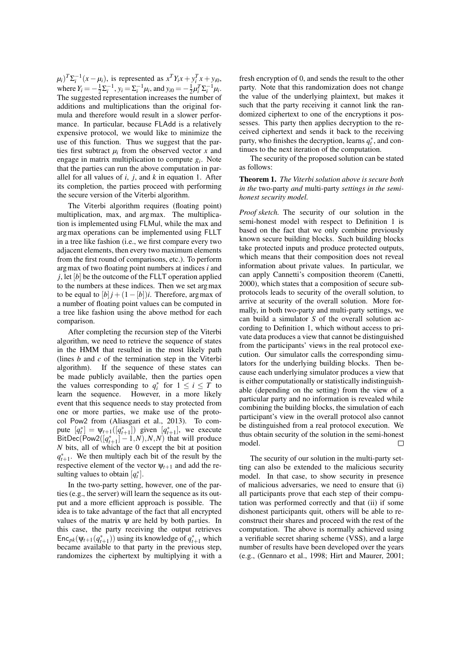$(\mu_i)^T \Sigma_i^{-1} (x - \mu_i)$ , is represented as  $x^T Y_i x + y_i^T x + y_i^0$ , where  $Y_i = -\frac{1}{2} \Sigma_i^{-1}$ ,  $y_i = \Sigma_i^{-1} \mu_i$ , and  $y_{i0} = -\frac{1}{2} \mu_i^T \Sigma_i^{-1} \mu_i$ . The suggested representation increases the number of additions and multiplications than the original formula and therefore would result in a slower performance. In particular, because FLAdd is a relatively expensive protocol, we would like to minimize the use of this function. Thus we suggest that the parties first subtract  $\mu_i$  from the observed vector  $x$  and engage in matrix multiplication to compute *g<sup>i</sup>* . Note that the parties can run the above computation in parallel for all values of *i*, *j*, and *k* in equation 1. After its completion, the parties proceed with performing the secure version of the Viterbi algorithm.

The Viterbi algorithm requires (floating point) multiplication, max, and argmax. The multiplication is implemented using FLMul, while the max and argmax operations can be implemented using FLLT in a tree like fashion (i.e., we first compare every two adjacent elements, then every two maximum elements from the first round of comparisons, etc.). To perform argmax of two floating point numbers at indices *i* and  $\dot{j}$ , let  $[b]$  be the outcome of the FLLT operation applied to the numbers at these indices. Then we set argmax to be equal to  $[b]$  *j* +  $(1 - [b])$ *i*. Therefore, argmax of a number of floating point values can be computed in a tree like fashion using the above method for each comparison.

After completing the recursion step of the Viterbi algorithm, we need to retrieve the sequence of states in the HMM that resulted in the most likely path (lines *b* and *c* of the termination step in the Viterbi algorithm). If the sequence of these states can be made publicly available, then the parties open the values corresponding to  $q_i^*$  for  $1 \le i \le T$  to learn the sequence. However, in a more likely event that this sequence needs to stay protected from one or more parties, we make use of the protocol Pow2 from (Aliasgari et al., 2013). To compute  $[q_t^*] = \Psi_{t+1}([q_{t+1}^*])$  given  $[q_{t+1}^*]$ , we execute  $B$ itDec(Pow2( $[q_{t+1}^*] - 1, N$ ),  $N, N$ ) that will produce *N* bits, all of which are 0 except the bit at position  $q_{t+1}^*$ . We then multiply each bit of the result by the respective element of the vector  $\Psi_{t+1}$  and add the resulting values to obtain  $[q_t^*]$ .

In the two-party setting, however, one of the parties (e.g., the server) will learn the sequence as its output and a more efficient approach is possible. The idea is to take advantage of the fact that all encrypted values of the matrix  $\psi$  are held by both parties. In this case, the party receiving the output retrieves Enc<sub>*pk*</sub>( $\psi$ *t*+1( $q$ <sup>\*</sup>+1</sup>)) using its knowledge of  $q$ <sup>\*</sup>+1</sup> which became available to that party in the previous step, randomizes the ciphertext by multiplying it with a

fresh encryption of 0, and sends the result to the other party. Note that this randomization does not change the value of the underlying plaintext, but makes it such that the party receiving it cannot link the randomized ciphertext to one of the encryptions it possesses. This party then applies decryption to the received ciphertext and sends it back to the receiving party, who finishes the decryption, learns  $q_t^*$ , and continues to the next iteration of the computation.

The security of the proposed solution can be stated as follows:

#### Theorem 1. *The Viterbi solution above is secure both in the* two-party *and* multi-party *settings in the semihonest security model.*

*Proof sketch.* The security of our solution in the semi-honest model with respect to Definition 1 is based on the fact that we only combine previously known secure building blocks. Such building blocks take protected inputs and produce protected outputs, which means that their composition does not reveal information about private values. In particular, we can apply Cannetti's composition theorem (Canetti, 2000), which states that a composition of secure subprotocols leads to security of the overall solution, to arrive at security of the overall solution. More formally, in both two-party and multi-party settings, we can build a simulator *S* of the overall solution according to Definition 1, which without access to private data produces a view that cannot be distinguished from the participants' views in the real protocol execution. Our simulator calls the corresponding simulators for the underlying building blocks. Then because each underlying simulator produces a view that is either computationally or statistically indistinguishable (depending on the setting) from the view of a particular party and no information is revealed while combining the building blocks, the simulation of each participant's view in the overall protocol also cannot be distinguished from a real protocol execution. We thus obtain security of the solution in the semi-honest model.

The security of our solution in the multi-party setting can also be extended to the malicious security model. In that case, to show security in presence of malicious adversaries, we need to ensure that (i) all participants prove that each step of their computation was performed correctly and that (ii) if some dishonest participants quit, others will be able to reconstruct their shares and proceed with the rest of the computation. The above is normally achieved using a verifiable secret sharing scheme (VSS), and a large number of results have been developed over the years (e.g., (Gennaro et al., 1998; Hirt and Maurer, 2001;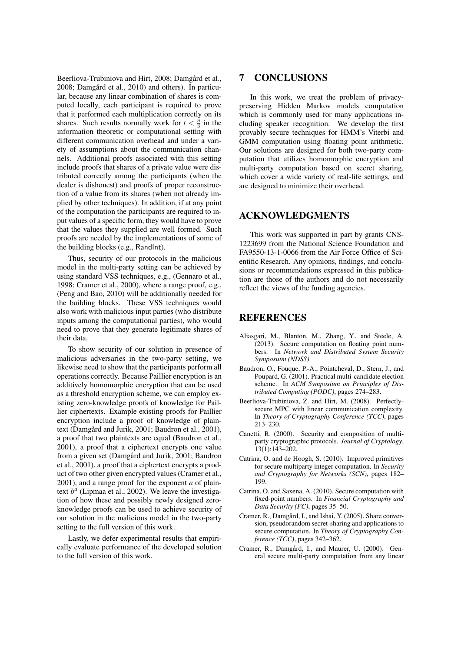Beerliova-Trubiniova and Hirt, 2008; Damgård et al., 2008; Damgård et al., 2010) and others). In particular, because any linear combination of shares is computed locally, each participant is required to prove that it performed each multiplication correctly on its shares. Such results normally work for  $t < \frac{n}{3}$  in the information theoretic or computational setting with different communication overhead and under a variety of assumptions about the communication channels. Additional proofs associated with this setting include proofs that shares of a private value were distributed correctly among the participants (when the dealer is dishonest) and proofs of proper reconstruction of a value from its shares (when not already implied by other techniques). In addition, if at any point of the computation the participants are required to input values of a specific form, they would have to prove that the values they supplied are well formed. Such proofs are needed by the implementations of some of the building blocks (e.g., RandInt).

Thus, security of our protocols in the malicious model in the multi-party setting can be achieved by using standard VSS techniques, e.g., (Gennaro et al., 1998; Cramer et al., 2000), where a range proof, e.g., (Peng and Bao, 2010) will be additionally needed for the building blocks. These VSS techniques would also work with malicious input parties (who distribute inputs among the computational parties), who would need to prove that they generate legitimate shares of their data.

To show security of our solution in presence of malicious adversaries in the two-party setting, we likewise need to show that the participants perform all operations correctly. Because Paillier encryption is an additively homomorphic encryption that can be used as a threshold encryption scheme, we can employ existing zero-knowledge proofs of knowledge for Paillier ciphertexts. Example existing proofs for Paillier encryption include a proof of knowledge of plaintext (Damgård and Jurik, 2001; Baudron et al., 2001), a proof that two plaintexts are equal (Baudron et al., 2001), a proof that a ciphertext encrypts one value from a given set (Damgård and Jurik, 2001; Baudron et al., 2001), a proof that a ciphertext encrypts a product of two other given encrypted values (Cramer et al., 2001), and a range proof for the exponent *a* of plaintext  $b^a$  (Lipmaa et al., 2002). We leave the investigation of how these and possibly newly designed zeroknowledge proofs can be used to achieve security of our solution in the malicious model in the two-party setting to the full version of this work.

Lastly, we defer experimental results that empirically evaluate performance of the developed solution to the full version of this work.

### 7 CONCLUSIONS

In this work, we treat the problem of privacypreserving Hidden Markov models computation which is commonly used for many applications including speaker recognition. We develop the first provably secure techniques for HMM's Viterbi and GMM computation using floating point arithmetic. Our solutions are designed for both two-party computation that utilizes homomorphic encryption and multi-party computation based on secret sharing, which cover a wide variety of real-life settings, and are designed to minimize their overhead.

### ACKNOWLEDGMENTS

This work was supported in part by grants CNS-1223699 from the National Science Foundation and FA9550-13-1-0066 from the Air Force Office of Scientific Research. Any opinions, findings, and conclusions or recommendations expressed in this publication are those of the authors and do not necessarily reflect the views of the funding agencies.

## **REFERENCES**

- Aliasgari, M., Blanton, M., Zhang, Y., and Steele, A. (2013). Secure computation on floating point numbers. In *Network and Distributed System Security Symposuim (NDSS)*.
- Baudron, O., Fouque, P.-A., Pointcheval, D., Stern, J., and Poupard, G. (2001). Practical multi-candidate election scheme. In *ACM Symposium on Principles of Distributed Computing (PODC)*, pages 274–283.
- Beerliova-Trubiniova, Z. and Hirt, M. (2008). Perfectlysecure MPC with linear communication complexity. In *Theory of Cryptography Conference (TCC)*, pages 213–230.
- Canetti, R. (2000). Security and composition of multiparty cryptographic protocols. *Journal of Cryptology*, 13(1):143–202.
- Catrina, O. and de Hoogh, S. (2010). Improved primitives for secure multiparty integer computation. In *Security and Cryptography for Networks (SCN)*, pages 182– 199.
- Catrina, O. and Saxena, A. (2010). Secure computation with fixed-point numbers. In *Financial Cryptography and Data Security (FC)*, pages 35–50.
- Cramer, R., Damgård, I., and Ishai, Y. (2005). Share conversion, pseudorandom secret-sharing and applications to secure computation. In *Theory of Cryptography Conference (TCC)*, pages 342–362.
- Cramer, R., Damgård, I., and Maurer, U. (2000). General secure multi-party computation from any linear